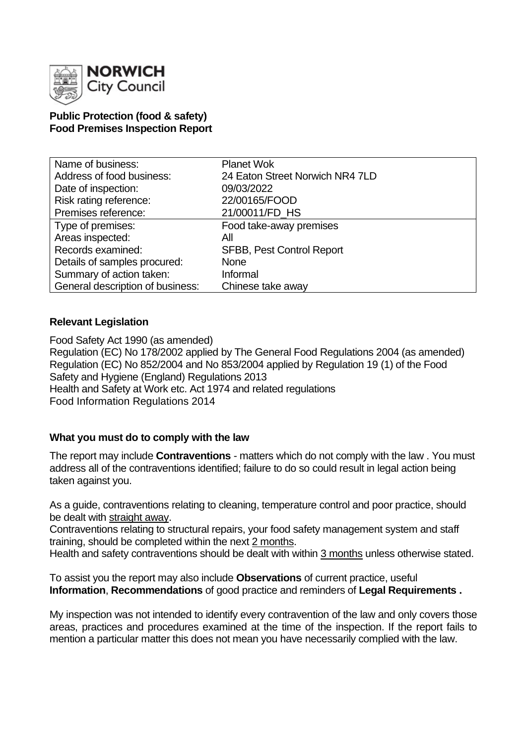

# **Public Protection (food & safety) Food Premises Inspection Report**

| Name of business:                | <b>Planet Wok</b>                |
|----------------------------------|----------------------------------|
| Address of food business:        | 24 Eaton Street Norwich NR4 7LD  |
| Date of inspection:              | 09/03/2022                       |
| Risk rating reference:           | 22/00165/FOOD                    |
| Premises reference:              | 21/00011/FD HS                   |
| Type of premises:                | Food take-away premises          |
| Areas inspected:                 | Αll                              |
| Records examined:                | <b>SFBB, Pest Control Report</b> |
| Details of samples procured:     | <b>None</b>                      |
| Summary of action taken:         | Informal                         |
| General description of business: | Chinese take away                |

# **Relevant Legislation**

Food Safety Act 1990 (as amended) Regulation (EC) No 178/2002 applied by The General Food Regulations 2004 (as amended) Regulation (EC) No 852/2004 and No 853/2004 applied by Regulation 19 (1) of the Food Safety and Hygiene (England) Regulations 2013 Health and Safety at Work etc. Act 1974 and related regulations Food Information Regulations 2014

### **What you must do to comply with the law**

The report may include **Contraventions** - matters which do not comply with the law . You must address all of the contraventions identified; failure to do so could result in legal action being taken against you.

As a guide, contraventions relating to cleaning, temperature control and poor practice, should be dealt with straight away.

Contraventions relating to structural repairs, your food safety management system and staff training, should be completed within the next 2 months.

Health and safety contraventions should be dealt with within 3 months unless otherwise stated.

To assist you the report may also include **Observations** of current practice, useful **Information**, **Recommendations** of good practice and reminders of **Legal Requirements .**

My inspection was not intended to identify every contravention of the law and only covers those areas, practices and procedures examined at the time of the inspection. If the report fails to mention a particular matter this does not mean you have necessarily complied with the law.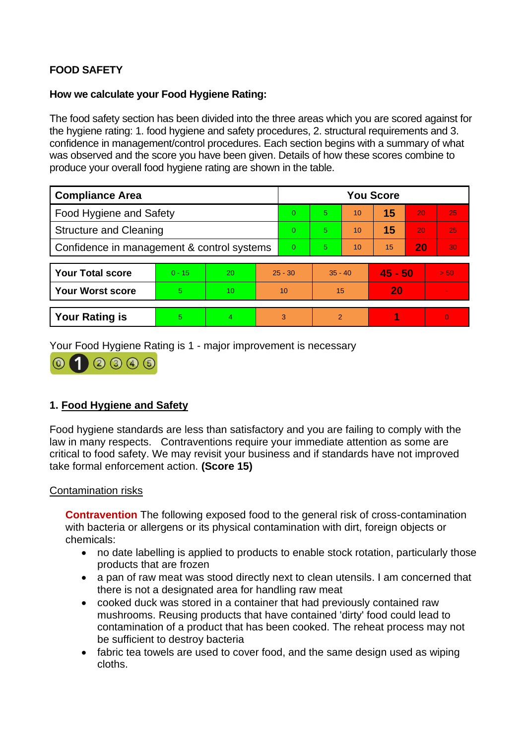# **FOOD SAFETY**

## **How we calculate your Food Hygiene Rating:**

The food safety section has been divided into the three areas which you are scored against for the hygiene rating: 1. food hygiene and safety procedures, 2. structural requirements and 3. confidence in management/control procedures. Each section begins with a summary of what was observed and the score you have been given. Details of how these scores combine to produce your overall food hygiene rating are shown in the table.

| <b>Compliance Area</b>                     |          |    |           | <b>You Score</b> |               |    |           |    |          |  |
|--------------------------------------------|----------|----|-----------|------------------|---------------|----|-----------|----|----------|--|
| <b>Food Hygiene and Safety</b>             |          |    |           | 0                | 5.            | 10 | 15        | 20 | 25       |  |
| <b>Structure and Cleaning</b>              |          |    |           | 0                | 5.            | 10 | 15        | 20 | 25       |  |
| Confidence in management & control systems |          |    |           | 0                | 5.            | 10 | 15        | 20 | 30       |  |
|                                            |          |    |           |                  |               |    |           |    |          |  |
| <b>Your Total score</b>                    | $0 - 15$ | 20 | $25 - 30$ |                  | $35 - 40$     |    | $45 - 50$ |    | > 50     |  |
| Your Worst score                           | 5        | 10 | 10        |                  | 15            |    | 20        |    |          |  |
|                                            |          |    |           |                  |               |    |           |    |          |  |
| <b>Your Rating is</b>                      | 5        | 4  |           | 3                | $\mathcal{P}$ |    |           |    | $\Omega$ |  |

Your Food Hygiene Rating is 1 - major improvement is necessary



# **1. Food Hygiene and Safety**

Food hygiene standards are less than satisfactory and you are failing to comply with the law in many respects. Contraventions require your immediate attention as some are critical to food safety. We may revisit your business and if standards have not improved take formal enforcement action. **(Score 15)**

### Contamination risks

**Contravention** The following exposed food to the general risk of cross-contamination with bacteria or allergens or its physical contamination with dirt, foreign objects or chemicals:

- no date labelling is applied to products to enable stock rotation, particularly those products that are frozen
- a pan of raw meat was stood directly next to clean utensils. I am concerned that there is not a designated area for handling raw meat
- cooked duck was stored in a container that had previously contained raw mushrooms. Reusing products that have contained 'dirty' food could lead to contamination of a product that has been cooked. The reheat process may not be sufficient to destroy bacteria
- fabric tea towels are used to cover food, and the same design used as wiping cloths.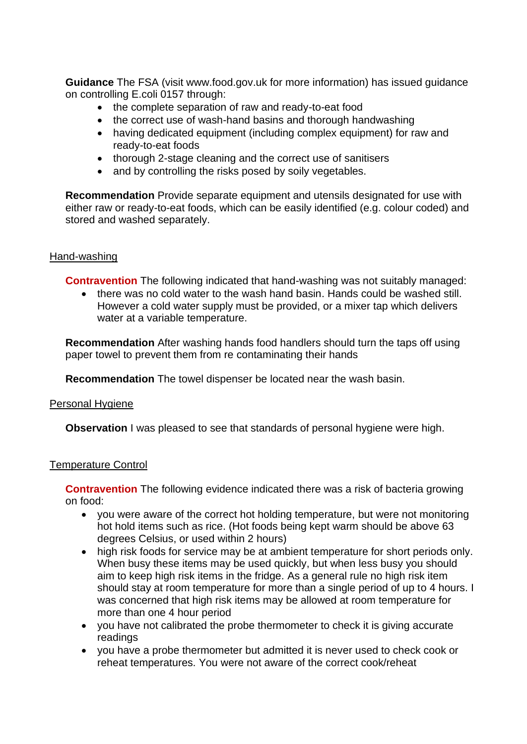**Guidance** The FSA (visit www.food.gov.uk for more information) has issued guidance on controlling E.coli 0157 through:

- the complete separation of raw and ready-to-eat food
- the correct use of wash-hand basins and thorough handwashing
- having dedicated equipment (including complex equipment) for raw and ready-to-eat foods
- thorough 2-stage cleaning and the correct use of sanitisers
- and by controlling the risks posed by soily vegetables.

**Recommendation** Provide separate equipment and utensils designated for use with either raw or ready-to-eat foods, which can be easily identified (e.g. colour coded) and stored and washed separately.

### Hand-washing

**Contravention** The following indicated that hand-washing was not suitably managed:

• there was no cold water to the wash hand basin. Hands could be washed still. However a cold water supply must be provided, or a mixer tap which delivers water at a variable temperature.

**Recommendation** After washing hands food handlers should turn the taps off using paper towel to prevent them from re contaminating their hands

**Recommendation** The towel dispenser be located near the wash basin.

#### Personal Hygiene

**Observation** I was pleased to see that standards of personal hygiene were high.

### Temperature Control

**Contravention** The following evidence indicated there was a risk of bacteria growing on food:

- you were aware of the correct hot holding temperature, but were not monitoring hot hold items such as rice. (Hot foods being kept warm should be above 63 degrees Celsius, or used within 2 hours)
- high risk foods for service may be at ambient temperature for short periods only. When busy these items may be used quickly, but when less busy you should aim to keep high risk items in the fridge. As a general rule no high risk item should stay at room temperature for more than a single period of up to 4 hours. I was concerned that high risk items may be allowed at room temperature for more than one 4 hour period
- you have not calibrated the probe thermometer to check it is giving accurate readings
- you have a probe thermometer but admitted it is never used to check cook or reheat temperatures. You were not aware of the correct cook/reheat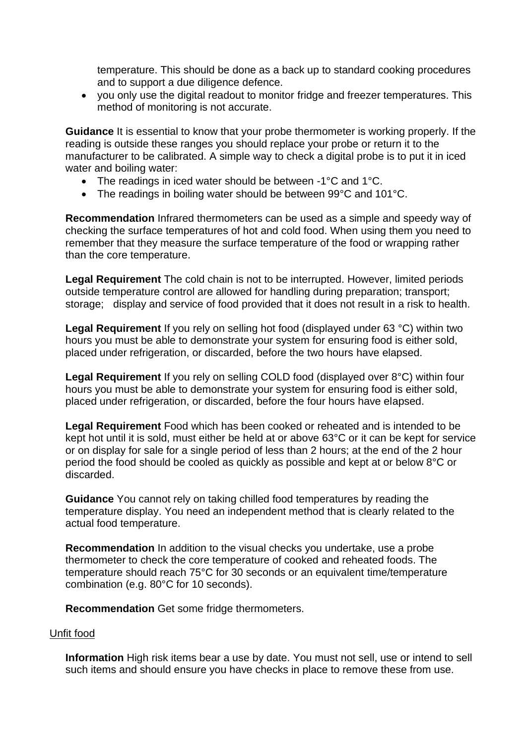temperature. This should be done as a back up to standard cooking procedures and to support a due diligence defence.

• you only use the digital readout to monitor fridge and freezer temperatures. This method of monitoring is not accurate.

**Guidance** It is essential to know that your probe thermometer is working properly. If the reading is outside these ranges you should replace your probe or return it to the manufacturer to be calibrated. A simple way to check a digital probe is to put it in iced water and boiling water:

- The readings in iced water should be between -1°C and 1°C.
- The readings in boiling water should be between 99°C and 101°C.

**Recommendation** Infrared thermometers can be used as a simple and speedy way of checking the surface temperatures of hot and cold food. When using them you need to remember that they measure the surface temperature of the food or wrapping rather than the core temperature.

**Legal Requirement** The cold chain is not to be interrupted. However, limited periods outside temperature control are allowed for handling during preparation; transport; storage; display and service of food provided that it does not result in a risk to health.

**Legal Requirement** If you rely on selling hot food (displayed under 63 °C) within two hours you must be able to demonstrate your system for ensuring food is either sold, placed under refrigeration, or discarded, before the two hours have elapsed.

**Legal Requirement** If you rely on selling COLD food (displayed over 8°C) within four hours you must be able to demonstrate your system for ensuring food is either sold, placed under refrigeration, or discarded, before the four hours have elapsed.

**Legal Requirement** Food which has been cooked or reheated and is intended to be kept hot until it is sold, must either be held at or above 63°C or it can be kept for service or on display for sale for a single period of less than 2 hours; at the end of the 2 hour period the food should be cooled as quickly as possible and kept at or below 8°C or discarded.

**Guidance** You cannot rely on taking chilled food temperatures by reading the temperature display. You need an independent method that is clearly related to the actual food temperature.

**Recommendation** In addition to the visual checks you undertake, use a probe thermometer to check the core temperature of cooked and reheated foods. The temperature should reach 75°C for 30 seconds or an equivalent time/temperature combination (e.g. 80°C for 10 seconds).

**Recommendation** Get some fridge thermometers.

# Unfit food

**Information** High risk items bear a use by date. You must not sell, use or intend to sell such items and should ensure you have checks in place to remove these from use.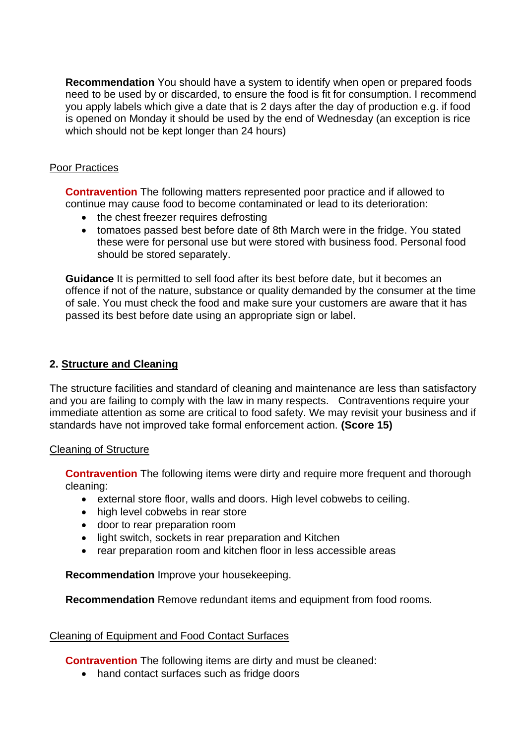**Recommendation** You should have a system to identify when open or prepared foods need to be used by or discarded, to ensure the food is fit for consumption. I recommend you apply labels which give a date that is 2 days after the day of production e.g. if food is opened on Monday it should be used by the end of Wednesday (an exception is rice which should not be kept longer than 24 hours)

### Poor Practices

**Contravention** The following matters represented poor practice and if allowed to continue may cause food to become contaminated or lead to its deterioration:

- the chest freezer requires defrosting
- tomatoes passed best before date of 8th March were in the fridge. You stated these were for personal use but were stored with business food. Personal food should be stored separately.

**Guidance** It is permitted to sell food after its best before date, but it becomes an offence if not of the nature, substance or quality demanded by the consumer at the time of sale. You must check the food and make sure your customers are aware that it has passed its best before date using an appropriate sign or label.

# **2. Structure and Cleaning**

The structure facilities and standard of cleaning and maintenance are less than satisfactory and you are failing to comply with the law in many respects. Contraventions require your immediate attention as some are critical to food safety. We may revisit your business and if standards have not improved take formal enforcement action. **(Score 15)**

### Cleaning of Structure

**Contravention** The following items were dirty and require more frequent and thorough cleaning:

- external store floor, walls and doors. High level cobwebs to ceiling.
- high level cobwebs in rear store
- door to rear preparation room
- light switch, sockets in rear preparation and Kitchen
- rear preparation room and kitchen floor in less accessible areas

**Recommendation** Improve your housekeeping.

**Recommendation** Remove redundant items and equipment from food rooms.

### Cleaning of Equipment and Food Contact Surfaces

**Contravention** The following items are dirty and must be cleaned:

• hand contact surfaces such as fridge doors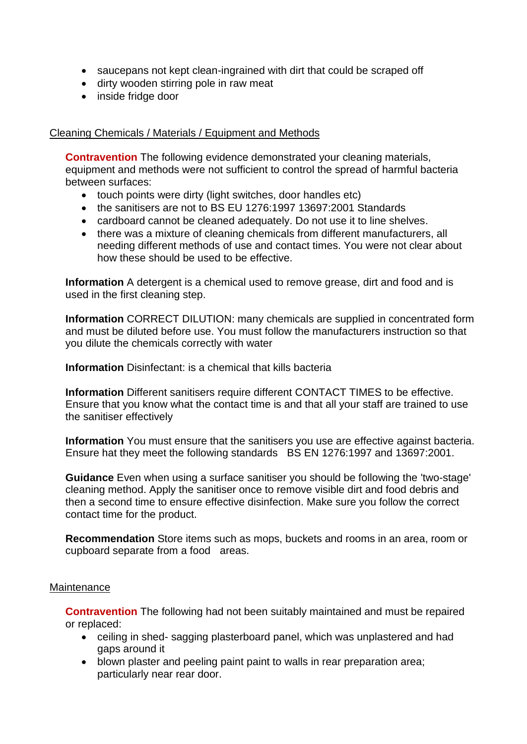- saucepans not kept clean-ingrained with dirt that could be scraped off
- dirty wooden stirring pole in raw meat
- inside fridge door

#### Cleaning Chemicals / Materials / Equipment and Methods

**Contravention** The following evidence demonstrated your cleaning materials, equipment and methods were not sufficient to control the spread of harmful bacteria between surfaces:

- touch points were dirty (light switches, door handles etc)
- the sanitisers are not to BS EU 1276:1997 13697:2001 Standards
- cardboard cannot be cleaned adequately. Do not use it to line shelves.
- there was a mixture of cleaning chemicals from different manufacturers, all needing different methods of use and contact times. You were not clear about how these should be used to be effective.

**Information** A detergent is a chemical used to remove grease, dirt and food and is used in the first cleaning step.

**Information** CORRECT DILUTION: many chemicals are supplied in concentrated form and must be diluted before use. You must follow the manufacturers instruction so that you dilute the chemicals correctly with water

**Information** Disinfectant: is a chemical that kills bacteria

**Information** Different sanitisers require different CONTACT TIMES to be effective. Ensure that you know what the contact time is and that all your staff are trained to use the sanitiser effectively

**Information** You must ensure that the sanitisers you use are effective against bacteria. Ensure hat they meet the following standards BS EN 1276:1997 and 13697:2001.

**Guidance** Even when using a surface sanitiser you should be following the 'two-stage' cleaning method. Apply the sanitiser once to remove visible dirt and food debris and then a second time to ensure effective disinfection. Make sure you follow the correct contact time for the product.

**Recommendation** Store items such as mops, buckets and rooms in an area, room or cupboard separate from a food areas.

#### Maintenance

**Contravention** The following had not been suitably maintained and must be repaired or replaced:

- ceiling in shed- sagging plasterboard panel, which was unplastered and had gaps around it
- blown plaster and peeling paint paint to walls in rear preparation area; particularly near rear door.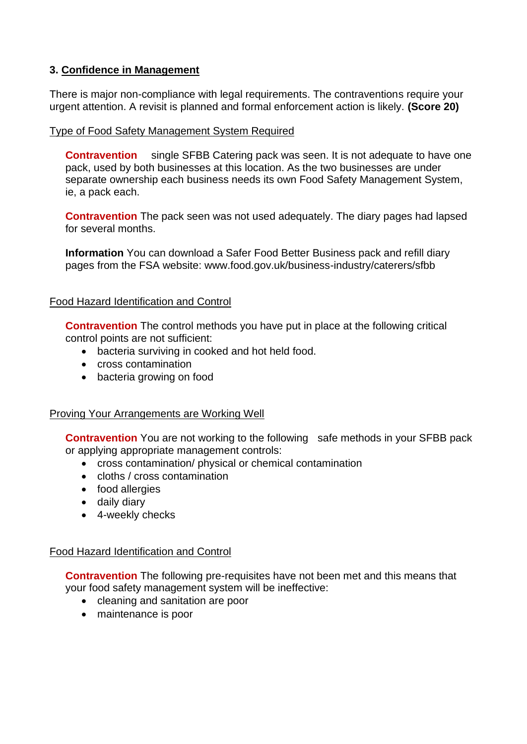# **3. Confidence in Management**

There is major non-compliance with legal requirements. The contraventions require your urgent attention. A revisit is planned and formal enforcement action is likely. **(Score 20)**

## Type of Food Safety Management System Required

**Contravention** single SFBB Catering pack was seen. It is not adequate to have one pack, used by both businesses at this location. As the two businesses are under separate ownership each business needs its own Food Safety Management System, ie, a pack each.

**Contravention** The pack seen was not used adequately. The diary pages had lapsed for several months.

**Information** You can download a Safer Food Better Business pack and refill diary pages from the FSA website: www.food.gov.uk/business-industry/caterers/sfbb

### Food Hazard Identification and Control

**Contravention** The control methods you have put in place at the following critical control points are not sufficient:

- bacteria surviving in cooked and hot held food.
- cross contamination
- bacteria growing on food

### Proving Your Arrangements are Working Well

**Contravention** You are not working to the following safe methods in your SFBB pack or applying appropriate management controls:

- cross contamination/ physical or chemical contamination
- cloths / cross contamination
- food allergies
- daily diary
- 4-weekly checks

### Food Hazard Identification and Control

**Contravention** The following pre-requisites have not been met and this means that your food safety management system will be ineffective:

- cleaning and sanitation are poor
- maintenance is poor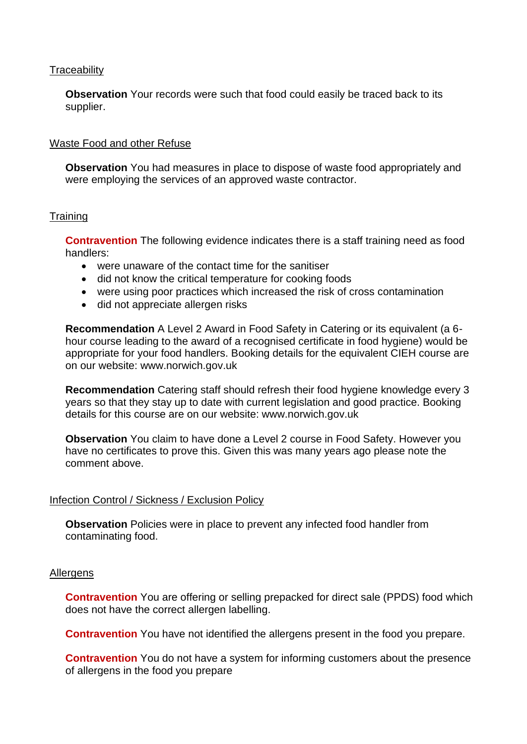#### **Traceability**

**Observation** Your records were such that food could easily be traced back to its supplier.

#### Waste Food and other Refuse

**Observation** You had measures in place to dispose of waste food appropriately and were employing the services of an approved waste contractor.

#### **Training**

**Contravention** The following evidence indicates there is a staff training need as food handlers:

- were unaware of the contact time for the sanitiser
- did not know the critical temperature for cooking foods
- were using poor practices which increased the risk of cross contamination
- did not appreciate allergen risks

**Recommendation** A Level 2 Award in Food Safety in Catering or its equivalent (a 6 hour course leading to the award of a recognised certificate in food hygiene) would be appropriate for your food handlers. Booking details for the equivalent CIEH course are on our website: www.norwich.gov.uk

**Recommendation** Catering staff should refresh their food hygiene knowledge every 3 years so that they stay up to date with current legislation and good practice. Booking details for this course are on our website: www.norwich.gov.uk

**Observation** You claim to have done a Level 2 course in Food Safety. However you have no certificates to prove this. Given this was many years ago please note the comment above.

### Infection Control / Sickness / Exclusion Policy

**Observation** Policies were in place to prevent any infected food handler from contaminating food.

#### Allergens

**Contravention** You are offering or selling prepacked for direct sale (PPDS) food which does not have the correct allergen labelling.

**Contravention** You have not identified the allergens present in the food you prepare.

**Contravention** You do not have a system for informing customers about the presence of allergens in the food you prepare